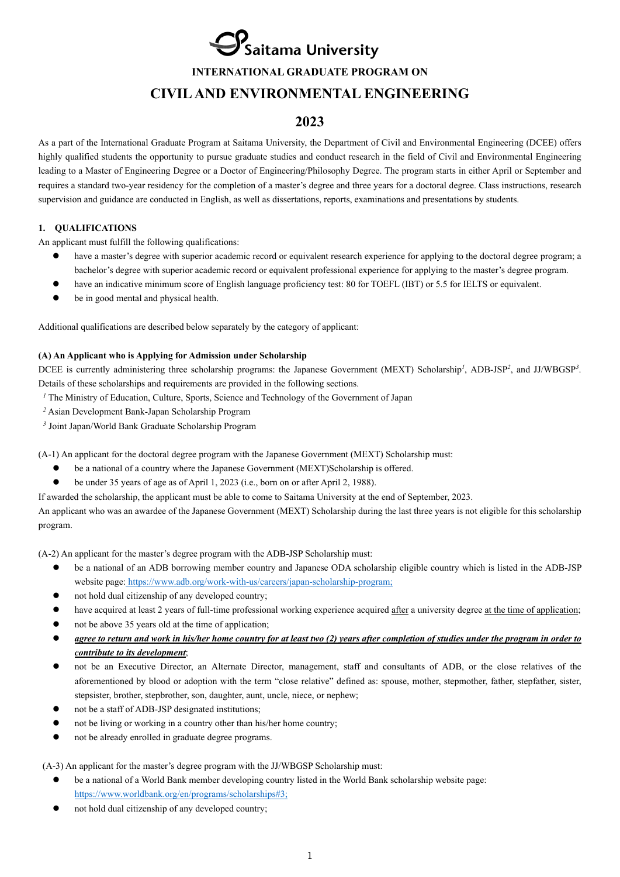$\mathbf{\mathcal{P}}$ Saitama University

**INTERNATIONAL GRADUATE PROGRAM ON** 

# **CIVIL AND ENVIRONMENTAL ENGINEERING**

# **2023**

As a part of the International Graduate Program at Saitama University, the Department of Civil and Environmental Engineering (DCEE) offers highly qualified students the opportunity to pursue graduate studies and conduct research in the field of Civil and Environmental Engineering leading to a Master of Engineering Degree or a Doctor of Engineering/Philosophy Degree. The program starts in either April or September and requires a standard two-year residency for the completion of a master's degree and three years for a doctoral degree. Class instructions, research supervision and guidance are conducted in English, as well as dissertations, reports, examinations and presentations by students.

# **1. QUALIFICATIONS**

An applicant must fulfill the following qualifications:

- have a master's degree with superior academic record or equivalent research experience for applying to the doctoral degree program; a bachelor's degree with superior academic record or equivalent professional experience for applying to the master's degree program.
- have an indicative minimum score of English language proficiency test: 80 for TOEFL (IBT) or 5.5 for IELTS or equivalent.
- be in good mental and physical health.

Additional qualifications are described below separately by the category of applicant:

# **(A) An Applicant who is Applying for Admission under Scholarship**

DCEE is currently administering three scholarship programs: the Japanese Government (MEXT) Scholarship*<sup>1</sup>* , ADB-JSP*<sup>2</sup>*, and JJ/WBGSP*<sup>3</sup>*. Details of these scholarships and requirements are provided in the following sections.

- *<sup>1</sup>* The Ministry of Education, Culture, Sports, Science and Technology of the Government of Japan
- *<sup>2</sup>* Asian Development Bank-Japan Scholarship Program
- *<sup>3</sup>* Joint Japan/World Bank Graduate Scholarship Program

(A-1) An applicant for the doctoral degree program with the Japanese Government (MEXT) Scholarship must:

- be a national of a country where the Japanese Government (MEXT)Scholarship is offered.
- be under 35 years of age as of April 1, 2023 (i.e., born on or after April 2, 1988).

If awarded the scholarship, the applicant must be able to come to Saitama University at the end of September, 2023.

An applicant who was an awardee of the Japanese Government (MEXT) Scholarship during the last three years is not eligible for this scholarship program.

(A-2) An applicant for the master's degree program with the ADB-JSP Scholarship must:

- be a national of an ADB borrowing member country and Japanese ODA scholarship eligible country which is listed in the ADB-JSP website page: https://www.adb.org/work-with-us/careers/japan-scholarship-program;
- not hold dual citizenship of any developed country;
- have acquired at least 2 years of full-time professional working experience acquired after a university degree at the time of application;
- not be above 35 years old at the time of application;
- *agree to return and work in his/her home country for at least two (2) years after completion of studies under the program in order to contribute to its development*;
- not be an Executive Director, an Alternate Director, management, staff and consultants of ADB, or the close relatives of the aforementioned by blood or adoption with the term "close relative" defined as: spouse, mother, stepmother, father, stepfather, sister, stepsister, brother, stepbrother, son, daughter, aunt, uncle, niece, or nephew;
- not be a staff of ADB-JSP designated institutions;
- not be living or working in a country other than his/her home country;
- not be already enrolled in graduate degree programs.

(A-3) An applicant for the master's degree program with the JJ/WBGSP Scholarship must:

- be a national of a World Bank member developing country listed in the World Bank scholarship website page: https://www.worldbank.org/en/programs/scholarships#3;
- not hold dual citizenship of any developed country;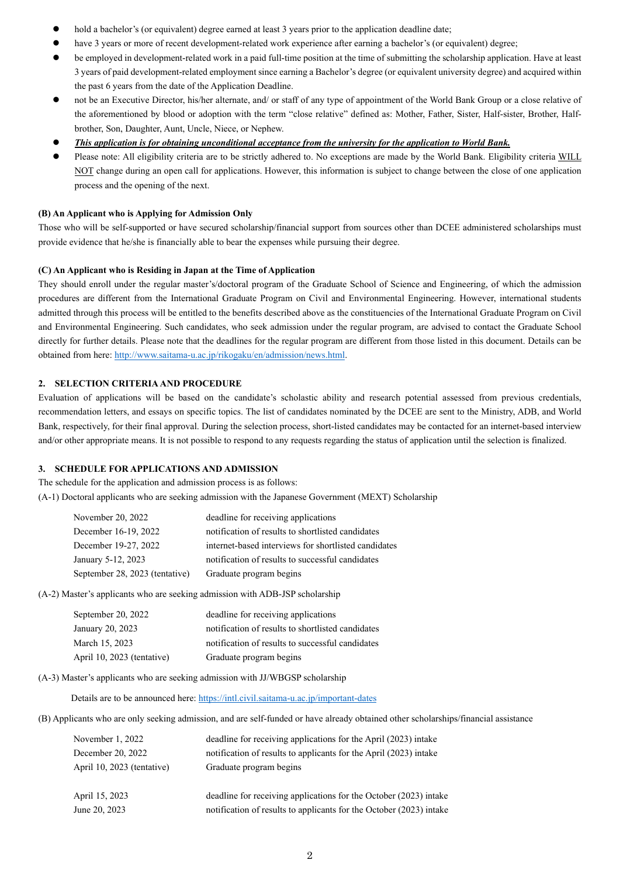- hold a bachelor's (or equivalent) degree earned at least 3 years prior to the application deadline date;
- have 3 years or more of recent development-related work experience after earning a bachelor's (or equivalent) degree;
- be employed in development-related work in a paid full-time position at the time of submitting the scholarship application. Have at least 3 years of paid development-related employment since earning a Bachelor's degree (or equivalent university degree) and acquired within the past 6 years from the date of the Application Deadline.
- not be an Executive Director, his/her alternate, and/ or staff of any type of appointment of the World Bank Group or a close relative of the aforementioned by blood or adoption with the term "close relative" defined as: Mother, Father, Sister, Half-sister, Brother, Halfbrother, Son, Daughter, Aunt, Uncle, Niece, or Nephew.
- *This application is for obtaining unconditional acceptance from the university for the application to World Bank.*
- Please note: All eligibility criteria are to be strictly adhered to. No exceptions are made by the World Bank. Eligibility criteria WILL NOT change during an open call for applications. However, this information is subject to change between the close of one application process and the opening of the next.

#### **(B) An Applicant who is Applying for Admission Only**

Those who will be self-supported or have secured scholarship/financial support from sources other than DCEE administered scholarships must provide evidence that he/she is financially able to bear the expenses while pursuing their degree.

### **(C) An Applicant who is Residing in Japan at the Time of Application**

They should enroll under the regular master's/doctoral program of the Graduate School of Science and Engineering, of which the admission procedures are different from the International Graduate Program on Civil and Environmental Engineering. However, international students admitted through this process will be entitled to the benefits described above as the constituencies of the International Graduate Program on Civil and Environmental Engineering. Such candidates, who seek admission under the regular program, are advised to contact the Graduate School directly for further details. Please note that the deadlines for the regular program are different from those listed in this document. Details can be obtained from here: http://www.saitama-u.ac.jp/rikogaku/en/admission/news.html.

## **2. SELECTION CRITERIA AND PROCEDURE**

Evaluation of applications will be based on the candidate's scholastic ability and research potential assessed from previous credentials, recommendation letters, and essays on specific topics. The list of candidates nominated by the DCEE are sent to the Ministry, ADB, and World Bank, respectively, for their final approval. During the selection process, short-listed candidates may be contacted for an internet-based interview and/or other appropriate means. It is not possible to respond to any requests regarding the status of application until the selection is finalized.

#### **3. SCHEDULE FOR APPLICATIONS AND ADMISSION**

The schedule for the application and admission process is as follows: (A-1) Doctoral applicants who are seeking admission with the Japanese Government (MEXT) Scholarship

| November 20, 2022              | deadline for receiving applications                  |
|--------------------------------|------------------------------------------------------|
| December 16-19, 2022           | notification of results to shortlisted candidates    |
| December 19-27, 2022           | internet-based interviews for shortlisted candidates |
| January 5-12, 2023             | notification of results to successful candidates     |
| September 28, 2023 (tentative) | Graduate program begins                              |

(A-2) Master's applicants who are seeking admission with ADB-JSP scholarship

| September 20, 2022         | deadline for receiving applications               |
|----------------------------|---------------------------------------------------|
| January 20, 2023           | notification of results to shortlisted candidates |
| March 15, 2023             | notification of results to successful candidates  |
| April 10, 2023 (tentative) | Graduate program begins                           |

(A-3) Master's applicants who are seeking admission with JJ/WBGSP scholarship

Details are to be announced here: https://intl.civil.saitama-u.ac.jp/important-dates

(B) Applicants who are only seeking admission, and are self-funded or have already obtained other scholarships/financial assistance

| November 1, 2022           | deadline for receiving applications for the April (2023) intake     |
|----------------------------|---------------------------------------------------------------------|
| December 20, 2022          | notification of results to applicants for the April (2023) intake   |
| April 10, 2023 (tentative) | Graduate program begins                                             |
| April 15, 2023             | deadline for receiving applications for the October (2023) intake   |
| June 20, 2023              | notification of results to applicants for the October (2023) intake |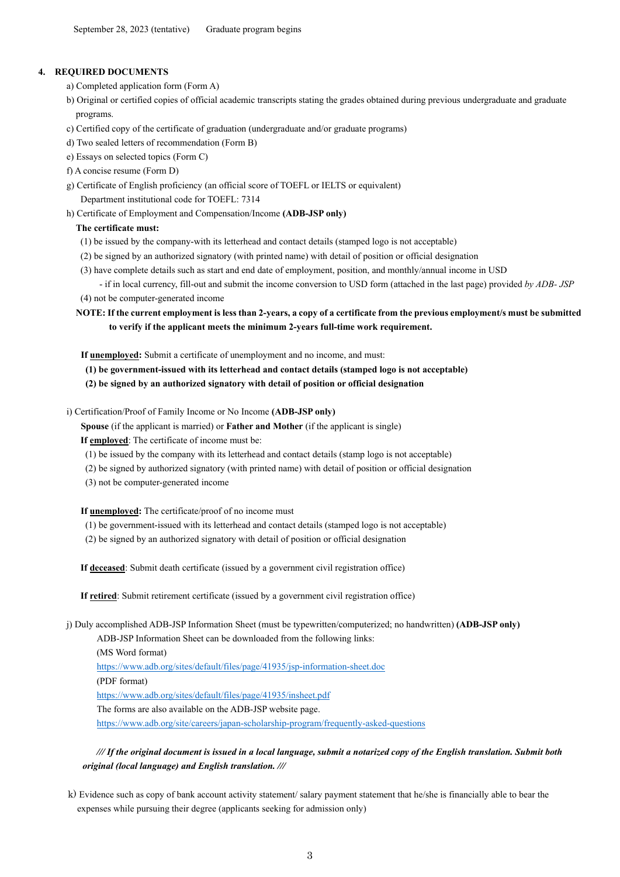# **4. REQUIRED DOCUMENTS**

- a) Completed application form (Form A)
- b) Original or certified copies of official academic transcripts stating the grades obtained during previous undergraduate and graduate programs.
- c) Certified copy of the certificate of graduation (undergraduate and/or graduate programs)
- d) Two sealed letters of recommendation (Form B)
- e) Essays on selected topics (Form C)
- f) A concise resume (Form D)
- g) Certificate of English proficiency (an official score of TOEFL or IELTS or equivalent) Department institutional code for TOEFL: 7314
- h) Certificate of Employment and Compensation/Income **(ADB-JSP only)**

# **The certificate must:**

- (1) be issued by the company-with its letterhead and contact details (stamped logo is not acceptable)
- (2) be signed by an authorized signatory (with printed name) with detail of position or official designation
- (3) have complete details such as start and end date of employment, position, and monthly/annual income in USD - if in local currency, fill-out and submit the income conversion to USD form (attached in the last page) provided *by ADB- JSP*
- (4) not be computer-generated income
- **NOTE: If the current employment is less than 2-years, a copy of a certificate from the previous employment/s must be submitted to verify if the applicant meets the minimum 2-years full-time work requirement.**

 **If unemployed:** Submit a certificate of unemployment and no income, and must:

- **(1) be government-issued with its letterhead and contact details (stamped logo is not acceptable)**
- **(2) be signed by an authorized signatory with detail of position or official designation**

## i) Certification/Proof of Family Income or No Income **(ADB-JSP only)**

 **Spouse** (if the applicant is married) or **Father and Mother** (if the applicant is single)

**If employed**: The certificate of income must be:

- (1) be issued by the company with its letterhead and contact details (stamp logo is not acceptable)
- (2) be signed by authorized signatory (with printed name) with detail of position or official designation
- (3) not be computer-generated income

**If unemployed:** The certificate/proof of no income must

- (1) be government-issued with its letterhead and contact details (stamped logo is not acceptable)
- (2) be signed by an authorized signatory with detail of position or official designation

**If deceased**: Submit death certificate (issued by a government civil registration office)

**If retired**: Submit retirement certificate (issued by a government civil registration office)

j) Duly accomplished ADB-JSP Information Sheet (must be typewritten/computerized; no handwritten) **(ADB-JSP only)**

ADB-JSP Information Sheet can be downloaded from the following links:

(MS Word format)

https://www.adb.org/sites/default/files/page/41935/jsp-information-sheet.doc

(PDF format)

https://www.adb.org/sites/default/files/page/41935/insheet.pdf

The forms are also available on the ADB-JSP website page.

https://www.adb.org/site/careers/japan-scholarship-program/frequently-asked-questions

*/// If the original document is issued in a local language, submit a notarized copy of the English translation. Submit both original (local language) and English translation. ///*

k) Evidence such as copy of bank account activity statement/ salary payment statement that he/she is financially able to bear the expenses while pursuing their degree (applicants seeking for admission only)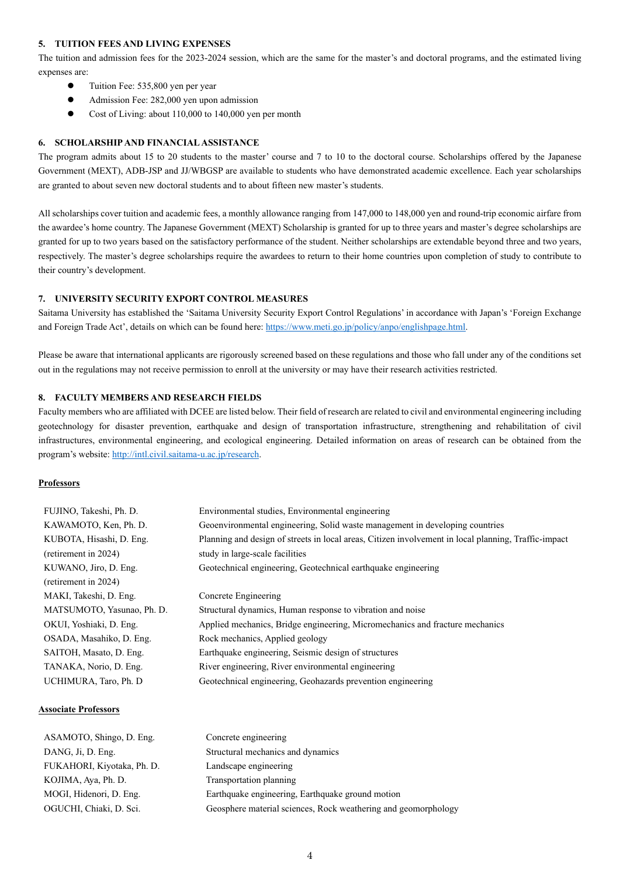#### **5. TUITION FEES AND LIVING EXPENSES**

The tuition and admission fees for the 2023-2024 session, which are the same for the master's and doctoral programs, and the estimated living expenses are:

- Tuition Fee: 535,800 yen per year
- Admission Fee: 282,000 yen upon admission
- Cost of Living: about 110,000 to 140,000 yen per month

#### **6. SCHOLARSHIP AND FINANCIAL ASSISTANCE**

The program admits about 15 to 20 students to the master' course and 7 to 10 to the doctoral course. Scholarships offered by the Japanese Government (MEXT), ADB-JSP and JJ/WBGSP are available to students who have demonstrated academic excellence. Each year scholarships are granted to about seven new doctoral students and to about fifteen new master's students.

All scholarships cover tuition and academic fees, a monthly allowance ranging from 147,000 to 148,000 yen and round-trip economic airfare from the awardee's home country. The Japanese Government (MEXT) Scholarship is granted for up to three years and master's degree scholarships are granted for up to two years based on the satisfactory performance of the student. Neither scholarships are extendable beyond three and two years, respectively. The master's degree scholarships require the awardees to return to their home countries upon completion of study to contribute to their country's development.

#### **7. UNIVERSITY SECURITY EXPORT CONTROL MEASURES**

Saitama University has established the 'Saitama University Security Export Control Regulations' in accordance with Japan's 'Foreign Exchange and Foreign Trade Act', details on which can be found here: https://www.meti.go.jp/policy/anpo/englishpage.html.

Please be aware that international applicants are rigorously screened based on these regulations and those who fall under any of the conditions set out in the regulations may not receive permission to enroll at the university or may have their research activities restricted.

### **8. FACULTY MEMBERS AND RESEARCH FIELDS**

Faculty members who are affiliated with DCEE are listed below. Their field of research are related to civil and environmental engineering including geotechnology for disaster prevention, earthquake and design of transportation infrastructure, strengthening and rehabilitation of civil infrastructures, environmental engineering, and ecological engineering. Detailed information on areas of research can be obtained from the program's website: http://intl.civil.saitama-u.ac.jp/research.

#### **Professors**

| FUJINO, Takeshi, Ph. D.    | Environmental studies, Environmental engineering                                                     |
|----------------------------|------------------------------------------------------------------------------------------------------|
| KAWAMOTO, Ken, Ph. D.      | Geoenvironmental engineering, Solid waste management in developing countries                         |
| KUBOTA, Hisashi, D. Eng.   | Planning and design of streets in local areas, Citizen involvement in local planning, Traffic-impact |
| (retirement in 2024)       | study in large-scale facilities                                                                      |
| KUWANO, Jiro, D. Eng.      | Geotechnical engineering, Geotechnical earthquake engineering                                        |
| (retirement in 2024)       |                                                                                                      |
| MAKI, Takeshi, D. Eng.     | Concrete Engineering                                                                                 |
| MATSUMOTO, Yasunao, Ph. D. | Structural dynamics, Human response to vibration and noise                                           |
| OKUI, Yoshiaki, D. Eng.    | Applied mechanics, Bridge engineering, Micromechanics and fracture mechanics                         |
| OSADA, Masahiko, D. Eng.   | Rock mechanics, Applied geology                                                                      |
| SAITOH, Masato, D. Eng.    | Earthquake engineering, Seismic design of structures                                                 |
| TANAKA, Norio, D. Eng.     | River engineering, River environmental engineering                                                   |
| UCHIMURA, Taro, Ph. D      | Geotechnical engineering, Geohazards prevention engineering                                          |
|                            |                                                                                                      |

#### **Associate Professors**

| ASAMOTO, Shingo, D. Eng.   | Concrete engineering                                           |
|----------------------------|----------------------------------------------------------------|
| DANG, Ji, D. Eng.          | Structural mechanics and dynamics                              |
| FUKAHORI, Kiyotaka, Ph. D. | Landscape engineering                                          |
| KOJIMA, Aya, Ph. D.        | Transportation planning                                        |
| MOGI, Hidenori, D. Eng.    | Earthquake engineering, Earthquake ground motion               |
| OGUCHI, Chiaki, D. Sci.    | Geosphere material sciences, Rock weathering and geomorphology |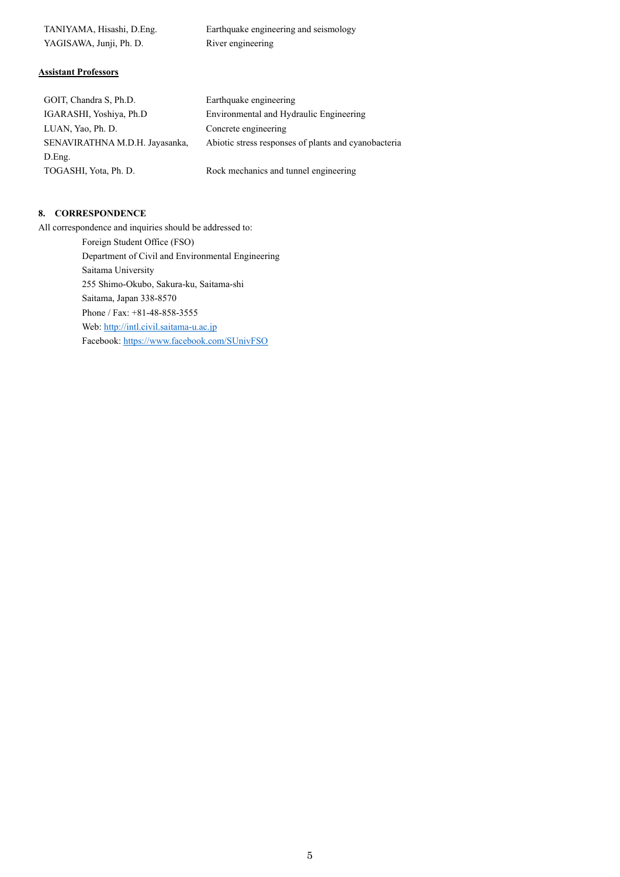| TANIYAMA, Hisashi, D.Eng. | Earthquake engineering and seismology |
|---------------------------|---------------------------------------|
| YAGISAWA, Junji, Ph. D.   | River engineering                     |

# **Assistant Professors**

| GOIT, Chandra S, Ph.D.         | Earthquake engineering                               |
|--------------------------------|------------------------------------------------------|
| IGARASHI, Yoshiya, Ph.D        | Environmental and Hydraulic Engineering              |
| LUAN, Yao, Ph. D.              | Concrete engineering                                 |
| SENAVIRATHNA M.D.H. Jayasanka, | Abiotic stress responses of plants and cyanobacteria |
| D.Eng.                         |                                                      |
| TOGASHI, Yota, Ph. D.          | Rock mechanics and tunnel engineering                |

# **8. CORRESPONDENCE**

All correspondence and inquiries should be addressed to:

 Foreign Student Office (FSO) Department of Civil and Environmental Engineering Saitama University 255 Shimo-Okubo, Sakura-ku, Saitama-shi Saitama, Japan 338-8570 Phone / Fax: +81-48-858-3555 Web: http://intl.civil.saitama-u.ac.jp Facebook: https://www.facebook.com/SUnivFSO